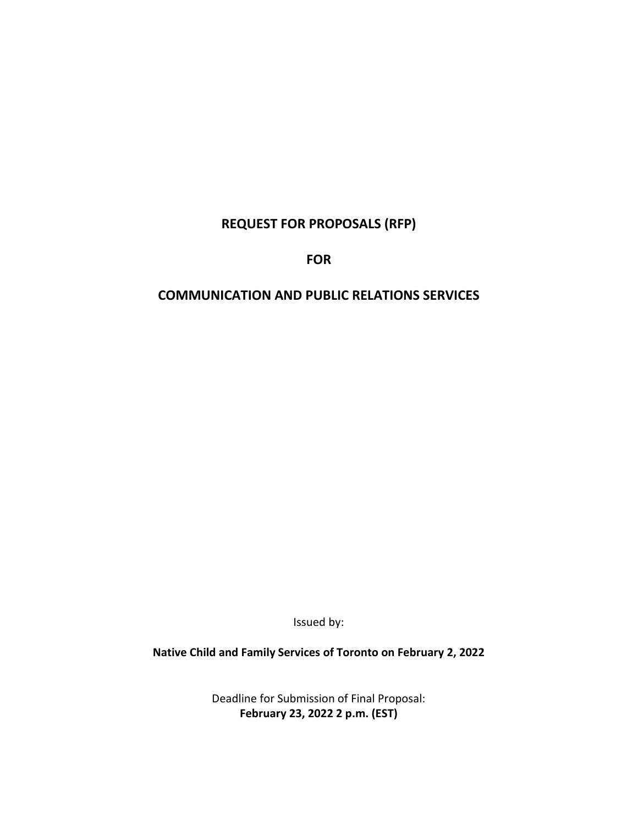# **REQUEST FOR PROPOSALS (RFP)**

**FOR**

# **COMMUNICATION AND PUBLIC RELATIONS SERVICES**

Issued by:

**Native Child and Family Services of Toronto on February 2, 2022**

Deadline for Submission of Final Proposal: **February 23, 2022 2 p.m. (EST)**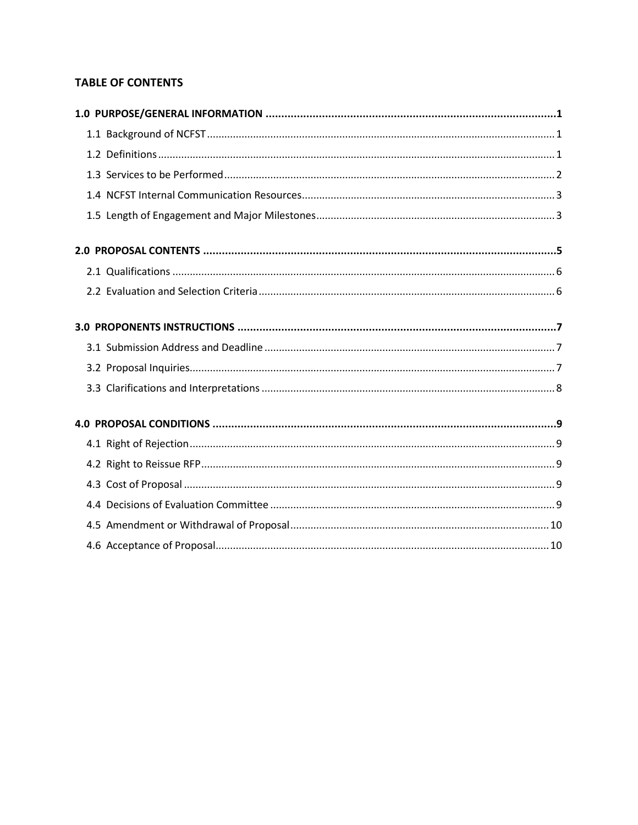# **TABLE OF CONTENTS**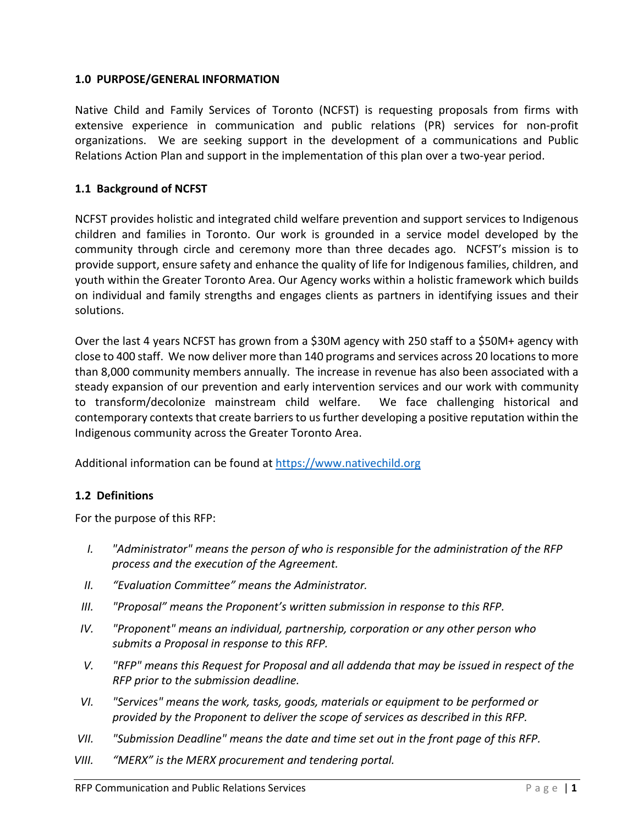## <span id="page-2-0"></span>**1.0 PURPOSE/GENERAL INFORMATION**

Native Child and Family Services of Toronto (NCFST) is requesting proposals from firms with extensive experience in communication and public relations (PR) services for non-profit organizations. We are seeking support in the development of a communications and Public Relations Action Plan and support in the implementation of this plan over a two-year period.

## <span id="page-2-1"></span>**1.1 Background of NCFST**

NCFST provides holistic and integrated child welfare prevention and support services to Indigenous children and families in Toronto. Our work is grounded in a service model developed by the community through circle and ceremony more than three decades ago. NCFST's mission is to provide support, ensure safety and enhance the quality of life for Indigenous families, children, and youth within the Greater Toronto Area. Our Agency works within a holistic framework which builds on individual and family strengths and engages clients as partners in identifying issues and their solutions.

Over the last 4 years NCFST has grown from a \$30M agency with 250 staff to a \$50M+ agency with close to 400 staff. We now deliver more than 140 programs and services across 20 locations to more than 8,000 community members annually. The increase in revenue has also been associated with a steady expansion of our prevention and early intervention services and our work with community to transform/decolonize mainstream child welfare. We face challenging historical and contemporary contexts that create barriers to us further developing a positive reputation within the Indigenous community across the Greater Toronto Area.

Additional information can be found at [https://www.nativechild.org](https://www.nativechild.org/)

### <span id="page-2-2"></span>**1.2 Definitions**

For the purpose of this RFP:

- *I. "Administrator" means the person of who is responsible for the administration of the RFP process and the execution of the Agreement.*
- *II. "Evaluation Committee" means the Administrator.*
- *III. "Proposal" means the Proponent's written submission in response to this RFP.*
- *IV. "Proponent" means an individual, partnership, corporation or any other person who submits a Proposal in response to this RFP.*
- *V. "RFP" means this Request for Proposal and all addenda that may be issued in respect of the RFP prior to the submission deadline.*
- *VI. "Services" means the work, tasks, goods, materials or equipment to be performed or provided by the Proponent to deliver the scope of services as described in this RFP.*
- *VII. "Submission Deadline" means the date and time set out in the front page of this RFP.*
- *VIII. "MERX" is the MERX procurement and tendering portal.*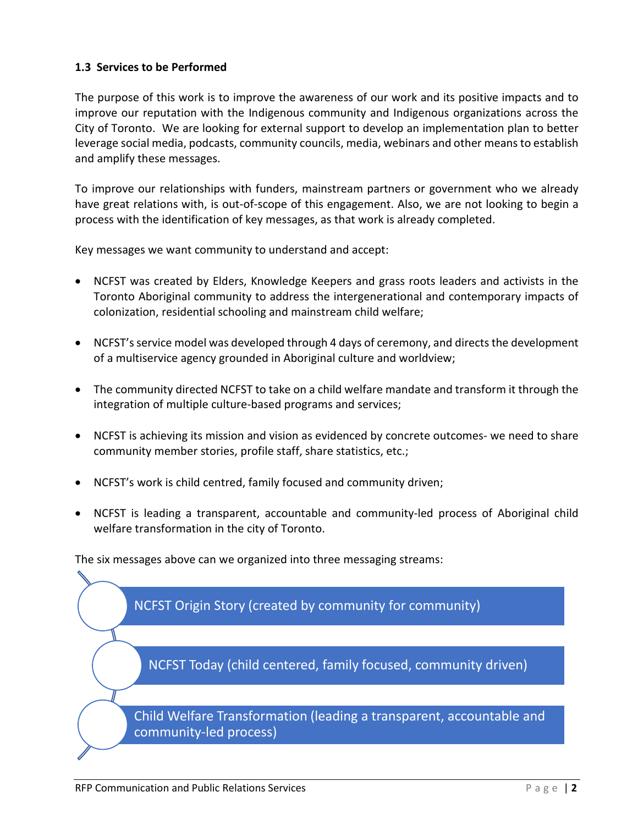## <span id="page-3-0"></span>**1.3 Services to be Performed**

The purpose of this work is to improve the awareness of our work and its positive impacts and to improve our reputation with the Indigenous community and Indigenous organizations across the City of Toronto. We are looking for external support to develop an implementation plan to better leverage social media, podcasts, community councils, media, webinars and other means to establish and amplify these messages.

To improve our relationships with funders, mainstream partners or government who we already have great relations with, is out-of-scope of this engagement. Also, we are not looking to begin a process with the identification of key messages, as that work is already completed.

Key messages we want community to understand and accept:

- NCFST was created by Elders, Knowledge Keepers and grass roots leaders and activists in the Toronto Aboriginal community to address the intergenerational and contemporary impacts of colonization, residential schooling and mainstream child welfare;
- NCFST's service model was developed through 4 days of ceremony, and directs the development of a multiservice agency grounded in Aboriginal culture and worldview;
- The community directed NCFST to take on a child welfare mandate and transform it through the integration of multiple culture-based programs and services;
- NCFST is achieving its mission and vision as evidenced by concrete outcomes- we need to share community member stories, profile staff, share statistics, etc.;
- NCFST's work is child centred, family focused and community driven;
- NCFST is leading a transparent, accountable and community-led process of Aboriginal child welfare transformation in the city of Toronto.

The six messages above can we organized into three messaging streams:

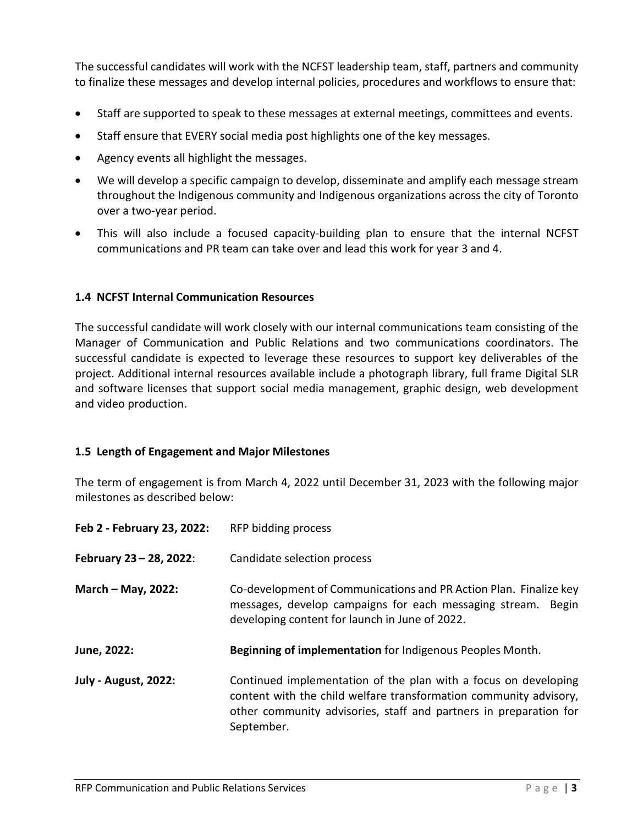The successful candidates will work with the NCFST leadership team, staff, partners and community to finalize these messages and develop internal policies, procedures and workflows to ensure that:

- Staff are supported to speak to these messages at external meetings, committees and events.
- Staff ensure that EVERY social media post highlights one of the key messages.
- Agency events all highlight the messages.
- We will develop a specific campaign to develop, disseminate and amplify each message stream throughout the Indigenous community and Indigenous organizations across the city of Toronto over a two-year period.
- This will also include a focused capacity-building plan to ensure that the internal NCFST communications and PR team can take over and lead this work for year 3 and 4.

### <span id="page-4-0"></span>**1.4 NCFST Internal Communication Resources**

The successful candidate will work closely with our internal communications team consisting of the Manager of Communication and Public Relations and two communications coordinators. The successful candidate is expected to leverage these resources to support key deliverables of the project. Additional internal resources available include a photograph library, full frame Digital SLR and software licenses that support social media management, graphic design, web development and video production.

### <span id="page-4-1"></span>**1.5 Length of Engagement and Major Milestones**

The term of engagement is from March 4, 2022 until December 31, 2023 with the following major milestones as described below:

| Feb 2 - February 23, 2022:  | RFP bidding process                                                                                                                                                                                                     |
|-----------------------------|-------------------------------------------------------------------------------------------------------------------------------------------------------------------------------------------------------------------------|
| February 23 - 28, 2022:     | Candidate selection process                                                                                                                                                                                             |
| March - May, 2022:          | Co-development of Communications and PR Action Plan. Finalize key<br>messages, develop campaigns for each messaging stream.<br><b>Begin</b><br>developing content for launch in June of 2022.                           |
| June, 2022:                 | Beginning of implementation for Indigenous Peoples Month.                                                                                                                                                               |
| <b>July - August, 2022:</b> | Continued implementation of the plan with a focus on developing<br>content with the child welfare transformation community advisory,<br>other community advisories, staff and partners in preparation for<br>September. |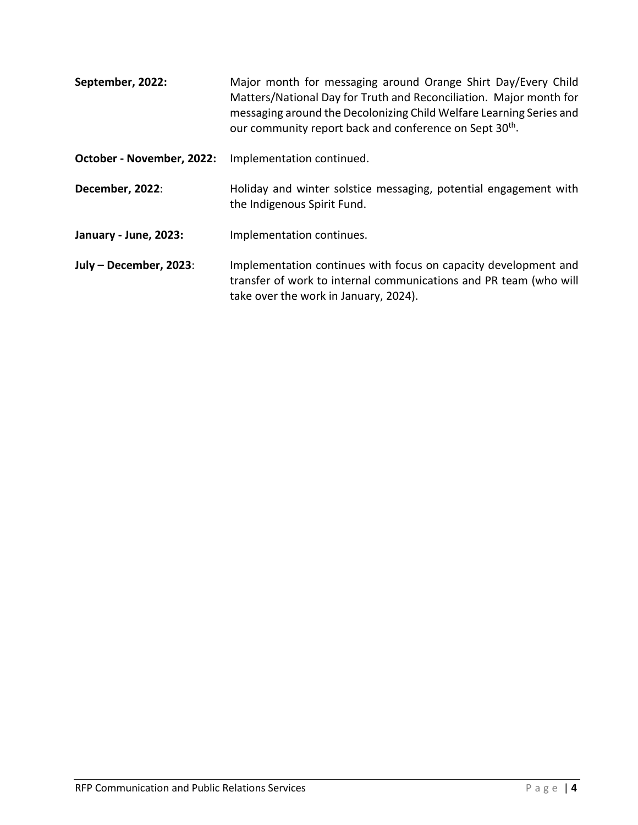| September, 2022:          | Major month for messaging around Orange Shirt Day/Every Child<br>Matters/National Day for Truth and Reconciliation. Major month for<br>messaging around the Decolonizing Child Welfare Learning Series and<br>our community report back and conference on Sept 30 <sup>th</sup> . |
|---------------------------|-----------------------------------------------------------------------------------------------------------------------------------------------------------------------------------------------------------------------------------------------------------------------------------|
| October - November, 2022: | Implementation continued.                                                                                                                                                                                                                                                         |
| December, 2022:           | Holiday and winter solstice messaging, potential engagement with<br>the Indigenous Spirit Fund.                                                                                                                                                                                   |
| January - June, 2023:     | Implementation continues.                                                                                                                                                                                                                                                         |
| July - December, 2023:    | Implementation continues with focus on capacity development and<br>transfer of work to internal communications and PR team (who will<br>take over the work in January, 2024).                                                                                                     |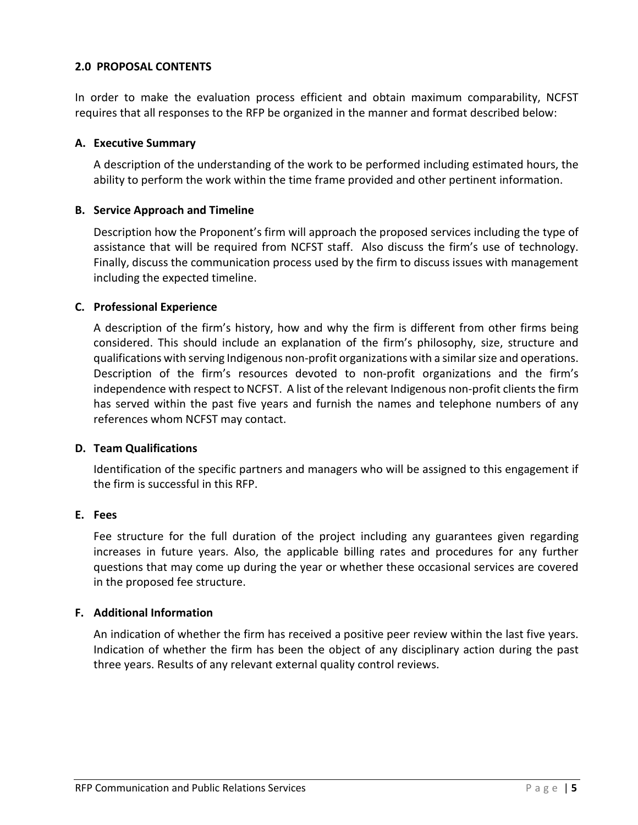### <span id="page-6-0"></span>**2.0 PROPOSAL CONTENTS**

In order to make the evaluation process efficient and obtain maximum comparability, NCFST requires that all responses to the RFP be organized in the manner and format described below:

#### **A. Executive Summary**

A description of the understanding of the work to be performed including estimated hours, the ability to perform the work within the time frame provided and other pertinent information.

### **B. Service Approach and Timeline**

Description how the Proponent's firm will approach the proposed services including the type of assistance that will be required from NCFST staff. Also discuss the firm's use of technology. Finally, discuss the communication process used by the firm to discuss issues with management including the expected timeline.

#### **C. Professional Experience**

A description of the firm's history, how and why the firm is different from other firms being considered. This should include an explanation of the firm's philosophy, size, structure and qualifications with serving Indigenous non-profit organizations with a similar size and operations. Description of the firm's resources devoted to non-profit organizations and the firm's independence with respect to NCFST. A list of the relevant Indigenous non-profit clients the firm has served within the past five years and furnish the names and telephone numbers of any references whom NCFST may contact.

#### **D. Team Qualifications**

Identification of the specific partners and managers who will be assigned to this engagement if the firm is successful in this RFP.

#### **E. Fees**

Fee structure for the full duration of the project including any guarantees given regarding increases in future years. Also, the applicable billing rates and procedures for any further questions that may come up during the year or whether these occasional services are covered in the proposed fee structure.

### **F. Additional Information**

An indication of whether the firm has received a positive peer review within the last five years. Indication of whether the firm has been the object of any disciplinary action during the past three years. Results of any relevant external quality control reviews.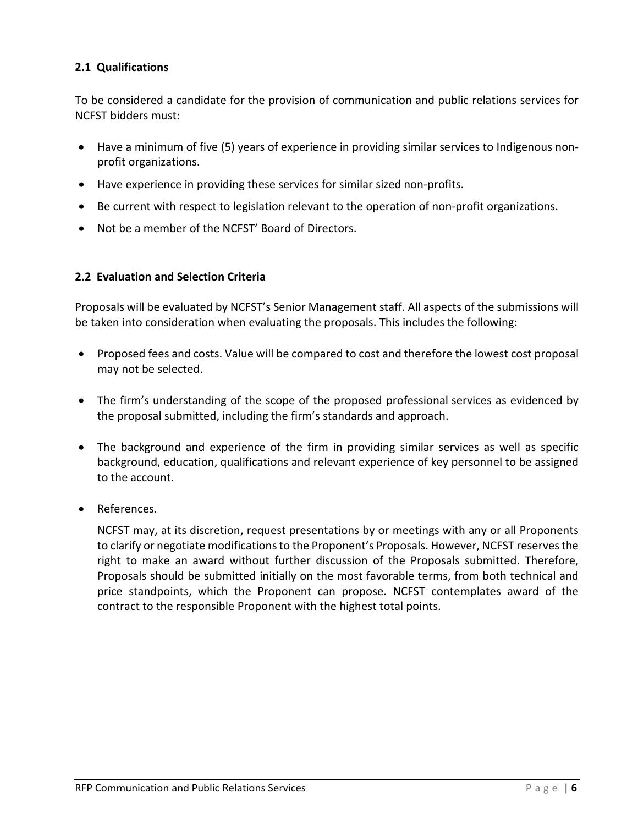## <span id="page-7-0"></span>**2.1 Qualifications**

To be considered a candidate for the provision of communication and public relations services for NCFST bidders must:

- Have a minimum of five (5) years of experience in providing similar services to Indigenous nonprofit organizations.
- Have experience in providing these services for similar sized non-profits.
- Be current with respect to legislation relevant to the operation of non-profit organizations.
- Not be a member of the NCFST' Board of Directors.

## <span id="page-7-1"></span>**2.2 Evaluation and Selection Criteria**

Proposals will be evaluated by NCFST's Senior Management staff. All aspects of the submissions will be taken into consideration when evaluating the proposals. This includes the following:

- Proposed fees and costs. Value will be compared to cost and therefore the lowest cost proposal may not be selected.
- The firm's understanding of the scope of the proposed professional services as evidenced by the proposal submitted, including the firm's standards and approach.
- The background and experience of the firm in providing similar services as well as specific background, education, qualifications and relevant experience of key personnel to be assigned to the account.
- References.

NCFST may, at its discretion, request presentations by or meetings with any or all Proponents to clarify or negotiate modifications to the Proponent's Proposals. However, NCFST reserves the right to make an award without further discussion of the Proposals submitted. Therefore, Proposals should be submitted initially on the most favorable terms, from both technical and price standpoints, which the Proponent can propose. NCFST contemplates award of the contract to the responsible Proponent with the highest total points.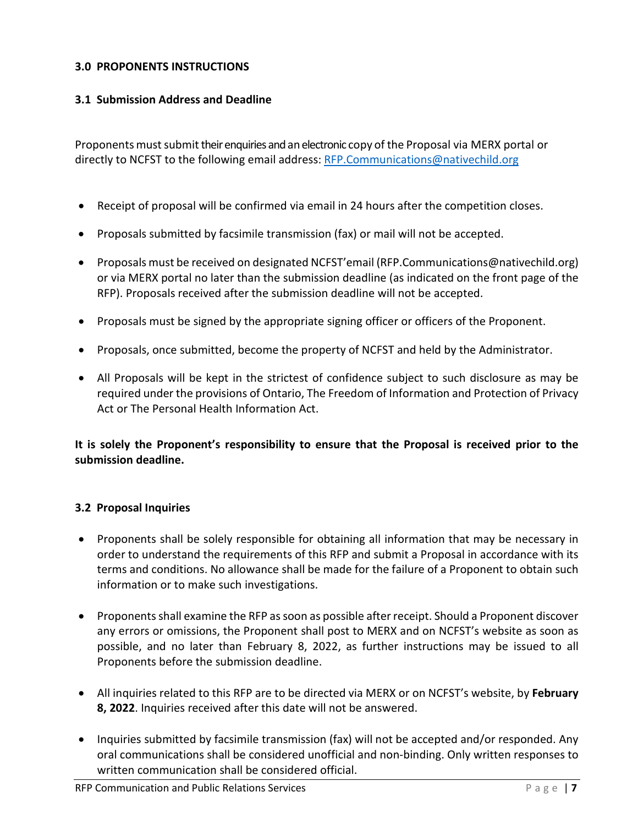### <span id="page-8-0"></span>**3.0 PROPONENTS INSTRUCTIONS**

## <span id="page-8-1"></span>**3.1 Submission Address and Deadline**

Proponents must submit their enquiries and an electronic copy of the Proposal via MERX portal or directly to NCFST to the following email address: [RFP.Communications@nativechild.org](mailto:RFP.Communications@nativechild.org)

- Receipt of proposal will be confirmed via email in 24 hours after the competition closes.
- Proposals submitted by facsimile transmission (fax) or mail will not be accepted.
- Proposals must be received on designated NCFST'email [\(RFP.Communications@nativechild.org\)](mailto:RFP.Communications@nativechild.org) or via MERX portal no later than the submission deadline (as indicated on the front page of the RFP). Proposals received after the submission deadline will not be accepted.
- Proposals must be signed by the appropriate signing officer or officers of the Proponent.
- Proposals, once submitted, become the property of NCFST and held by the Administrator.
- All Proposals will be kept in the strictest of confidence subject to such disclosure as may be required under the provisions of Ontario, The Freedom of Information and Protection of Privacy Act or The Personal Health Information Act.

**It is solely the Proponent's responsibility to ensure that the Proposal is received prior to the submission deadline.**

## <span id="page-8-2"></span>**3.2 Proposal Inquiries**

- Proponents shall be solely responsible for obtaining all information that may be necessary in order to understand the requirements of this RFP and submit a Proposal in accordance with its terms and conditions. No allowance shall be made for the failure of a Proponent to obtain such information or to make such investigations.
- Proponents shall examine the RFP as soon as possible after receipt. Should a Proponent discover any errors or omissions, the Proponent shall post to MERX and on NCFST's website as soon as possible, and no later than February 8, 2022, as further instructions may be issued to all Proponents before the submission deadline.
- All inquiries related to this RFP are to be directed via MERX or on NCFST's website, by **February 8, 2022**. Inquiries received after this date will not be answered.
- Inquiries submitted by facsimile transmission (fax) will not be accepted and/or responded. Any oral communications shall be considered unofficial and non-binding. Only written responses to written communication shall be considered official.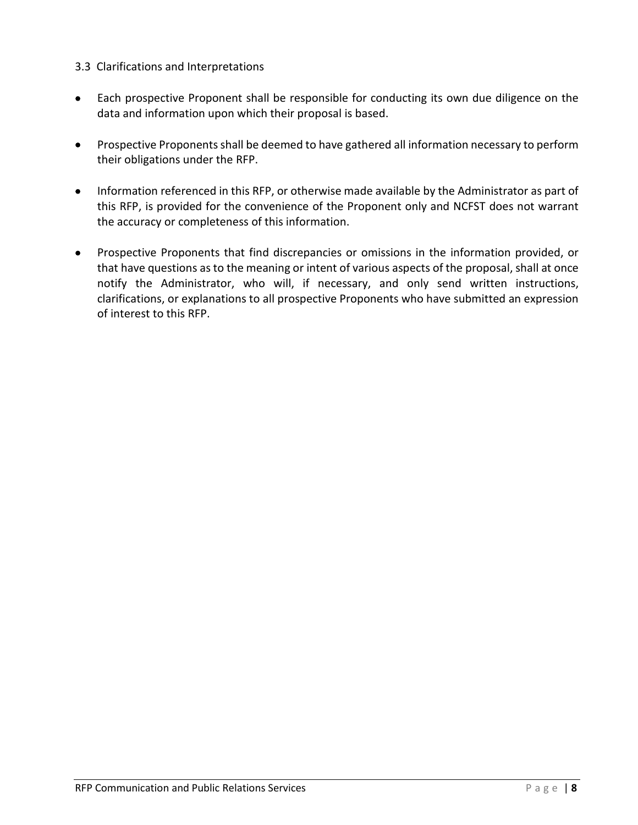## <span id="page-9-0"></span>3.3 Clarifications and Interpretations

- Each prospective Proponent shall be responsible for conducting its own due diligence on the data and information upon which their proposal is based.
- Prospective Proponents shall be deemed to have gathered all information necessary to perform their obligations under the RFP.
- Information referenced in this RFP, or otherwise made available by the Administrator as part of this RFP, is provided for the convenience of the Proponent only and NCFST does not warrant the accuracy or completeness of this information.
- Prospective Proponents that find discrepancies or omissions in the information provided, or that have questions as to the meaning or intent of various aspects of the proposal, shall at once notify the Administrator, who will, if necessary, and only send written instructions, clarifications, or explanations to all prospective Proponents who have submitted an expression of interest to this RFP.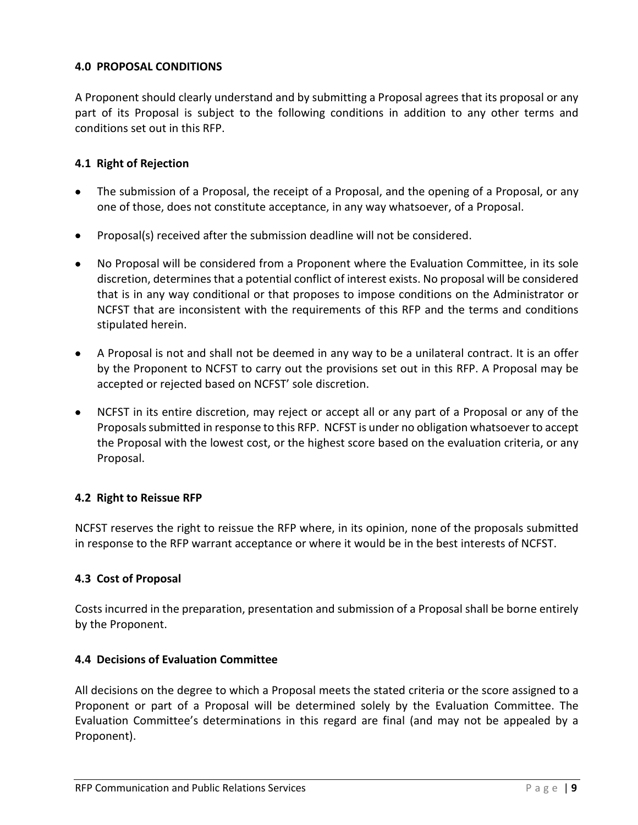## <span id="page-10-0"></span>**4.0 PROPOSAL CONDITIONS**

A Proponent should clearly understand and by submitting a Proposal agrees that its proposal or any part of its Proposal is subject to the following conditions in addition to any other terms and conditions set out in this RFP.

## <span id="page-10-1"></span>**4.1 Right of Rejection**

- The submission of a Proposal, the receipt of a Proposal, and the opening of a Proposal, or any one of those, does not constitute acceptance, in any way whatsoever, of a Proposal.
- Proposal(s) received after the submission deadline will not be considered.
- No Proposal will be considered from a Proponent where the Evaluation Committee, in its sole discretion, determines that a potential conflict of interest exists. No proposal will be considered that is in any way conditional or that proposes to impose conditions on the Administrator or NCFST that are inconsistent with the requirements of this RFP and the terms and conditions stipulated herein.
- A Proposal is not and shall not be deemed in any way to be a unilateral contract. It is an offer by the Proponent to NCFST to carry out the provisions set out in this RFP. A Proposal may be accepted or rejected based on NCFST' sole discretion.
- NCFST in its entire discretion, may reject or accept all or any part of a Proposal or any of the Proposals submitted in response to this RFP. NCFST is under no obligation whatsoever to accept the Proposal with the lowest cost, or the highest score based on the evaluation criteria, or any Proposal.

### <span id="page-10-2"></span>**4.2 Right to Reissue RFP**

NCFST reserves the right to reissue the RFP where, in its opinion, none of the proposals submitted in response to the RFP warrant acceptance or where it would be in the best interests of NCFST.

### <span id="page-10-3"></span>**4.3 Cost of Proposal**

Costs incurred in the preparation, presentation and submission of a Proposal shall be borne entirely by the Proponent.

### <span id="page-10-4"></span>**4.4 Decisions of Evaluation Committee**

All decisions on the degree to which a Proposal meets the stated criteria or the score assigned to a Proponent or part of a Proposal will be determined solely by the Evaluation Committee. The Evaluation Committee's determinations in this regard are final (and may not be appealed by a Proponent).